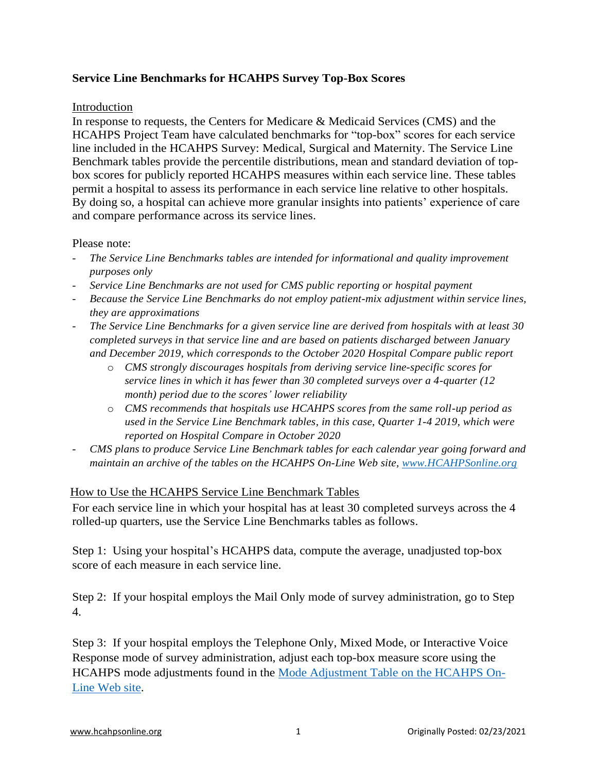# **Service Line Benchmarks for HCAHPS Survey Top-Box Scores**

## Introduction

In response to requests, the Centers for Medicare & Medicaid Services (CMS) and the HCAHPS Project Team have calculated benchmarks for "top-box" scores for each service line included in the HCAHPS Survey: Medical, Surgical and Maternity. The Service Line Benchmark tables provide the percentile distributions, mean and standard deviation of topbox scores for publicly reported HCAHPS measures within each service line. These tables permit a hospital to assess its performance in each service line relative to other hospitals. By doing so, a hospital can achieve more granular insights into patients' experience of care and compare performance across its service lines.

## Please note:

- *The Service Line Benchmarks tables are intended for informational and quality improvement purposes only*
- *Service Line Benchmarks are not used for CMS public reporting or hospital payment*
- *Because the Service Line Benchmarks do not employ patient-mix adjustment within service lines, they are approximations*
- *The Service Line Benchmarks for a given service line are derived from hospitals with at least 30 completed surveys in that service line and are based on patients discharged between January and December 2019, which corresponds to the October 2020 Hospital Compare public report*
	- o *CMS strongly discourages hospitals from deriving service line-specific scores for service lines in which it has fewer than 30 completed surveys over a 4-quarter (12 month) period due to the scores' lower reliability*
	- o *CMS recommends that hospitals use HCAHPS scores from the same roll-up period as used in the Service Line Benchmark tables, in this case, Quarter 1-4 2019, which were reported on Hospital Compare in October 2020*
- *CMS plans to produce Service Line Benchmark tables for each calendar year going forward and maintain an archive of the tables on the HCAHPS On-Line Web site, [www.HCAHPSonline.org](http://www.hcahpsonline.org/)*

# How to Use the HCAHPS Service Line Benchmark Tables

For each service line in which your hospital has at least 30 completed surveys across the 4 rolled-up quarters, use the Service Line Benchmarks tables as follows.

Step 1: Using your hospital's HCAHPS data, compute the average, unadjusted top-box score of each measure in each service line.

Step 2: If your hospital employs the Mail Only mode of survey administration, go to Step 4.

Step 3: If your hospital employs the Telephone Only, Mixed Mode, or Interactive Voice Response mode of survey administration, adjust each top-box measure score using the HCAHPS mode adjustments found in the [Mode Adjustment Table on the HCAHPS On-](https://hcahpsonline.org/globalassets/hcahps/mode-patient-mix-adjustment/april_2017_mode_patient-mix_adjustment_hcahps_survey_mode_adjustment.pdf)[Line Web site.](https://hcahpsonline.org/globalassets/hcahps/mode-patient-mix-adjustment/april_2017_mode_patient-mix_adjustment_hcahps_survey_mode_adjustment.pdf)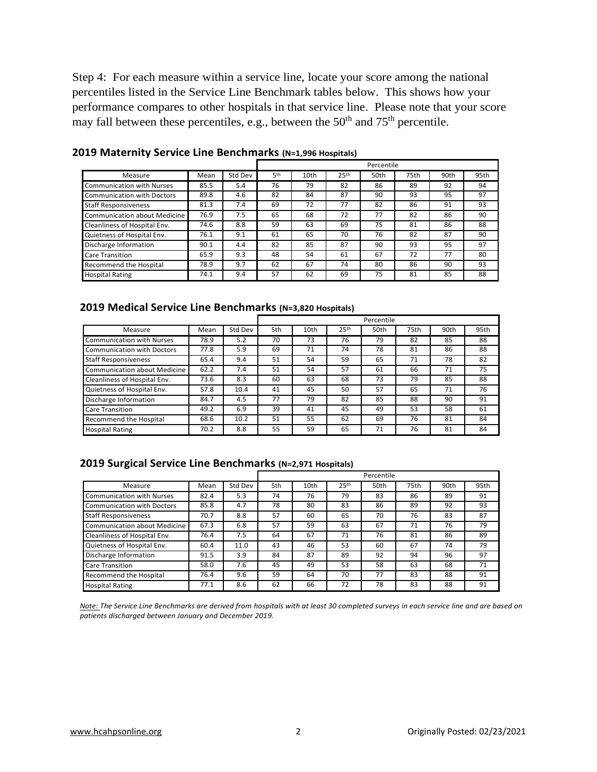Step 4: For each measure within a service line, locate your score among the national percentiles listed in the Service Line Benchmark tables below. This shows how your performance compares to other hospitals in that service line. Please note that your score may fall between these percentiles, e.g., between the  $50<sup>th</sup>$  and  $75<sup>th</sup>$  percentile.

|                                     |      |         | Percentile |      |                  |      |      |      |      |
|-------------------------------------|------|---------|------------|------|------------------|------|------|------|------|
| Measure                             | Mean | Std Dev | 5th        | 10th | 25 <sup>th</sup> | 50th | 75th | 90th | 95th |
| Communication with Nurses           | 85.5 | 5.4     | 76         | 79   | 82               | 86   | 89   | 92   | 94   |
| Communication with Doctors          | 89.8 | 4.6     | 82         | 84   | 87               | 90   | 93   | 95   | 97   |
| <b>Staff Responsiveness</b>         | 81.3 | 7.4     | 69         | 72   | 77               | 82   | 86   | 91   | 93   |
| <b>Communication about Medicine</b> | 76.9 | 7.5     | 65         | 68   | 72               | 77   | 82   | 86   | 90   |
| Cleanliness of Hospital Env.        | 74.6 | 8.8     | 59         | 63   | 69               | 75   | 81   | 86   | 88   |
| Quietness of Hospital Env.          | 76.1 | 9.1     | 61         | 65   | 70               | 76   | 82   | 87   | 90   |
| Discharge Information               | 90.1 | 4.4     | 82         | 85   | 87               | 90   | 93   | 95   | 97   |
| <b>Care Transition</b>              | 65.9 | 9.3     | 48         | 54   | 61               | 67   | 72   | 77   | 80   |
| Recommend the Hospital              | 78.9 | 9.7     | 62         | 67   | 74               | 80   | 86   | 90   | 93   |
| <b>Hospital Rating</b>              | 74.1 | 9.4     | 57         | 62   | 69               | 75   | 81   | 85   | 88   |

**2019 Maternity Service Line Benchmarks (N=1,996 Hospitals)**

### **2019 Medical Service Line Benchmarks (N=3,820 Hospitals)**

|                              |      |         | Percentile |                  |                  |      |      |      |      |
|------------------------------|------|---------|------------|------------------|------------------|------|------|------|------|
| Measure                      | Mean | Std Dev | 5th        | 10 <sub>th</sub> | 25 <sup>th</sup> | 50th | 75th | 90th | 95th |
| Communication with Nurses    | 78.9 | 5.2     | 70         | 73               | 76               | 79   | 82   | 85   | 88   |
| Communication with Doctors   | 77.8 | 5.9     | 69         | 71               | 74               | 78   | 81   | 86   | 88   |
| <b>Staff Responsiveness</b>  | 65.4 | 9.4     | 51         | 54               | 59               | 65   | 71   | 78   | 82   |
| Communication about Medicine | 62.2 | 7.4     | 51         | 54               | 57               | 61   | 66   | 71   | 75   |
| Cleanliness of Hospital Env. | 73.6 | 8.3     | 60         | 63               | 68               | 73   | 79   | 85   | 88   |
| Quietness of Hospital Env.   | 57.8 | 10.4    | 41         | 45               | 50               | 57   | 65   | 71   | 76   |
| Discharge Information        | 84.7 | 4.5     | 77         | 79               | 82               | 85   | 88   | 90   | 91   |
| <b>Care Transition</b>       | 49.2 | 6.9     | 39         | 41               | 45               | 49   | 53   | 58   | 61   |
| Recommend the Hospital       | 68.6 | 10.2    | 51         | 55               | 62               | 69   | 76   | 81   | 84   |
| <b>Hospital Rating</b>       | 70.2 | 8.8     | 55         | 59               | 65               | 71   | 76   | 81   | 84   |

### **2019 Surgical Service Line Benchmarks (N=2,971 Hospitals)**

|                                   |      |         | Percentile |                  |                  |      |      |      |      |
|-----------------------------------|------|---------|------------|------------------|------------------|------|------|------|------|
| Measure                           | Mean | Std Dev | 5th        | 10 <sub>th</sub> | 25 <sup>th</sup> | 50th | 75th | 90th | 95th |
| <b>Communication with Nurses</b>  | 82.4 | 5.3     | 74         | 76               | 79               | 83   | 86   | 89   | 91   |
| <b>Communication with Doctors</b> | 85.8 | 4.7     | 78         | 80               | 83               | 86   | 89   | 92   | 93   |
| <b>Staff Responsiveness</b>       | 70.7 | 8.8     | 57         | 60               | 65               | 70   | 76   | 83   | 87   |
| Communication about Medicine      | 67.3 | 6.8     | 57         | 59               | 63               | 67   | 71   | 76   | 79   |
| Cleanliness of Hospital Env.      | 76.4 | 7.5     | 64         | 67               | 71               | 76   | 81   | 86   | 89   |
| Quietness of Hospital Env.        | 60.4 | 11.0    | 43         | 46               | 53               | 60   | 67   | 74   | 79   |
| Discharge Information             | 91.5 | 3.9     | 84         | 87               | 89               | 92   | 94   | 96   | 97   |
| <b>Care Transition</b>            | 58.0 | 7.6     | 45         | 49               | 53               | 58   | 63   | 68   | 71   |
| Recommend the Hospital            | 76.4 | 9.6     | 59         | 64               | 70               | 77   | 83   | 88   | 91   |
| <b>Hospital Rating</b>            | 77.1 | 8.6     | 62         | 66               | 72               | 78   | 83   | 88   | 91   |

*Note: The Service Line Benchmarks are derived from hospitals with at least 30 completed surveys in each service line and are based on patients discharged between January and December 2019.*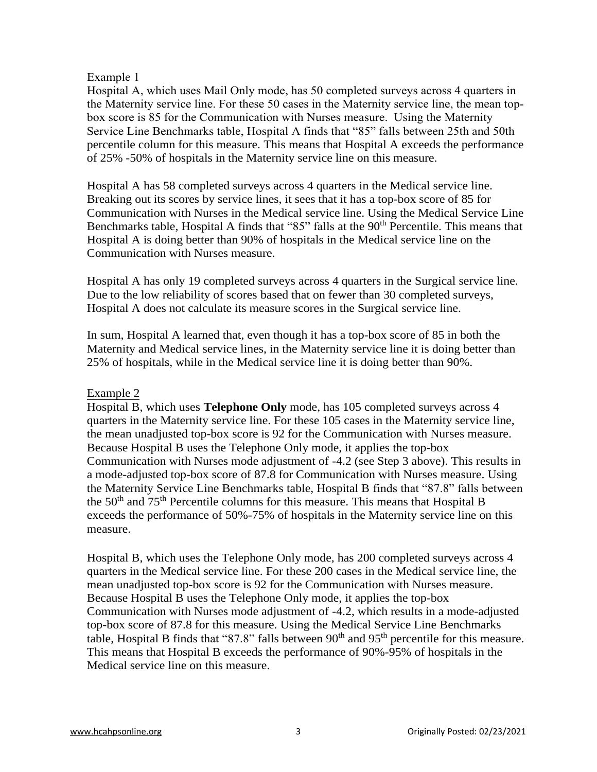## Example 1

Hospital A, which uses Mail Only mode, has 50 completed surveys across 4 quarters in the Maternity service line. For these 50 cases in the Maternity service line, the mean topbox score is 85 for the Communication with Nurses measure. Using the Maternity Service Line Benchmarks table, Hospital A finds that "85" falls between 25th and 50th percentile column for this measure. This means that Hospital A exceeds the performance of 25% -50% of hospitals in the Maternity service line on this measure.

Hospital A has 58 completed surveys across 4 quarters in the Medical service line. Breaking out its scores by service lines, it sees that it has a top-box score of 85 for Communication with Nurses in the Medical service line. Using the Medical Service Line Benchmarks table, Hospital A finds that "85" falls at the 90<sup>th</sup> Percentile. This means that Hospital A is doing better than 90% of hospitals in the Medical service line on the Communication with Nurses measure.

Hospital A has only 19 completed surveys across 4 quarters in the Surgical service line. Due to the low reliability of scores based that on fewer than 30 completed surveys, Hospital A does not calculate its measure scores in the Surgical service line.

In sum, Hospital A learned that, even though it has a top-box score of 85 in both the Maternity and Medical service lines, in the Maternity service line it is doing better than 25% of hospitals, while in the Medical service line it is doing better than 90%.

## Example 2

Hospital B, which uses **Telephone Only** mode, has 105 completed surveys across 4 quarters in the Maternity service line. For these 105 cases in the Maternity service line, the mean unadjusted top-box score is 92 for the Communication with Nurses measure. Because Hospital B uses the Telephone Only mode, it applies the top-box Communication with Nurses mode adjustment of -4.2 (see Step 3 above). This results in a mode-adjusted top-box score of 87.8 for Communication with Nurses measure. Using the Maternity Service Line Benchmarks table, Hospital B finds that "87.8" falls between the 50th and 75th Percentile columns for this measure. This means that Hospital B exceeds the performance of 50%-75% of hospitals in the Maternity service line on this measure.

Hospital B, which uses the Telephone Only mode, has 200 completed surveys across 4 quarters in the Medical service line. For these 200 cases in the Medical service line, the mean unadjusted top-box score is 92 for the Communication with Nurses measure. Because Hospital B uses the Telephone Only mode, it applies the top-box Communication with Nurses mode adjustment of -4.2, which results in a mode-adjusted top-box score of 87.8 for this measure. Using the Medical Service Line Benchmarks table, Hospital B finds that "87.8" falls between  $90<sup>th</sup>$  and  $95<sup>th</sup>$  percentile for this measure. This means that Hospital B exceeds the performance of 90%-95% of hospitals in the Medical service line on this measure.